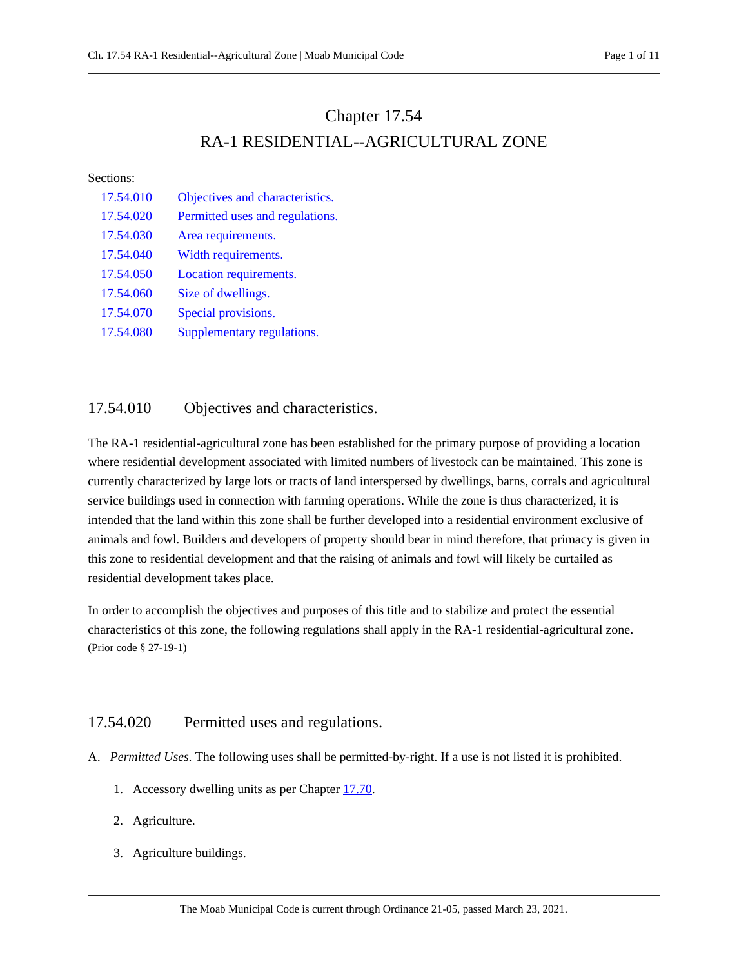# Chapter 17.54 RA-1 RESIDENTIAL--AGRICULTURAL ZONE

#### Sections:

| 17.54.010 | Objectives and characteristics. |
|-----------|---------------------------------|
| 17.54.020 | Permitted uses and regulations. |
| 17.54.030 | Area requirements.              |
| 17.54.040 | Width requirements.             |
| 17.54.050 | Location requirements.          |
| 17.54.060 | Size of dwellings.              |
| 17.54.070 | Special provisions.             |
| 17.54.080 | Supplementary regulations.      |

# <span id="page-0-0"></span>17.54.010 Objectives and characteristics.

The RA-1 residential-agricultural zone has been established for the primary purpose of providing a location where residential development associated with limited numbers of livestock can be maintained. This zone is currently characterized by large lots or tracts of land interspersed by dwellings, barns, corrals and agricultural service buildings used in connection with farming operations. While the zone is thus characterized, it is intended that the land within this zone shall be further developed into a residential environment exclusive of animals and fowl. Builders and developers of property should bear in mind therefore, that primacy is given in this zone to residential development and that the raising of animals and fowl will likely be curtailed as residential development takes place.

In order to accomplish the objectives and purposes of this title and to stabilize and protect the essential characteristics of this zone, the following regulations shall apply in the RA-1 residential-agricultural zone. (Prior code § 27-19-1)

# <span id="page-0-1"></span>17.54.020 Permitted uses and regulations.

- A. *Permitted Uses.* The following uses shall be permitted-by-right. If a use is not listed it is prohibited.
	- 1. Accessory dwelling units as per Chapter [17.70.](https://moab.municipal.codes/Code/17.70)
	- 2. Agriculture.
	- 3. Agriculture buildings.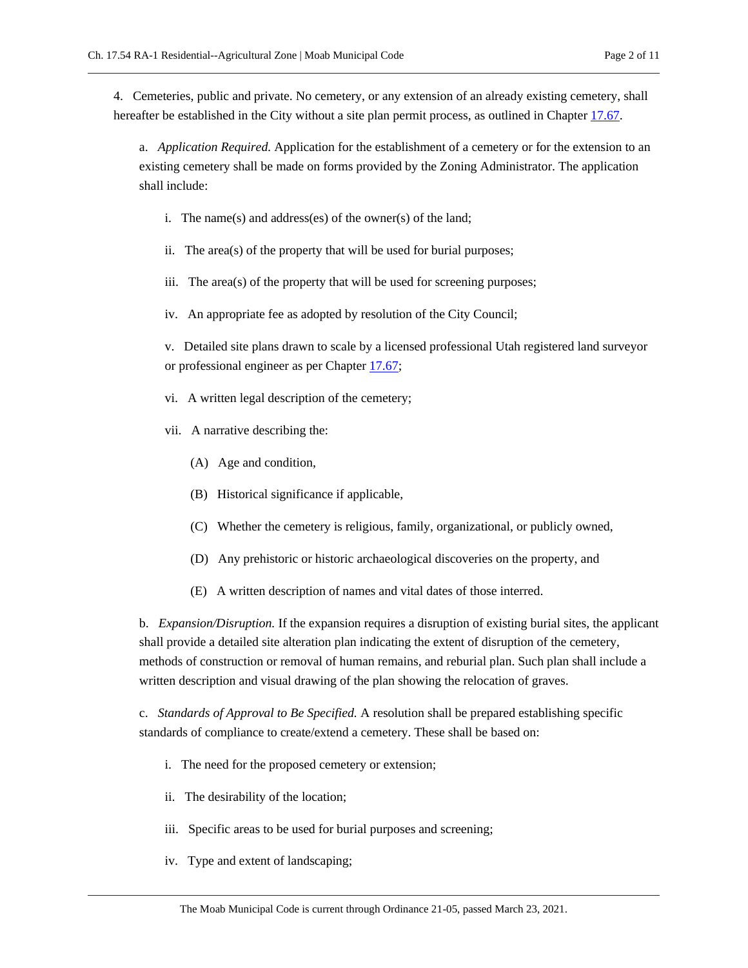4. Cemeteries, public and private. No cemetery, or any extension of an already existing cemetery, shall hereafter be established in the City without a site plan permit process, as outlined in Chapte[r 17.67.](https://moab.municipal.codes/Code/17.67)

a. *Application Required.* Application for the establishment of a cemetery or for the extension to an existing cemetery shall be made on forms provided by the Zoning Administrator. The application shall include:

- i. The name(s) and address(es) of the owner(s) of the land;
- ii. The area(s) of the property that will be used for burial purposes;
- iii. The area(s) of the property that will be used for screening purposes;
- iv. An appropriate fee as adopted by resolution of the City Council;

v. Detailed site plans drawn to scale by a licensed professional Utah registered land surveyor or professional engineer as per Chapter [17.67;](https://moab.municipal.codes/Code/17.67)

- vi. A written legal description of the cemetery;
- vii. A narrative describing the:
	- (A) Age and condition,
	- (B) Historical significance if applicable,
	- (C) Whether the cemetery is religious, family, organizational, or publicly owned,
	- (D) Any prehistoric or historic archaeological discoveries on the property, and
	- (E) A written description of names and vital dates of those interred.

b. *Expansion/Disruption.* If the expansion requires a disruption of existing burial sites, the applicant shall provide a detailed site alteration plan indicating the extent of disruption of the cemetery, methods of construction or removal of human remains, and reburial plan. Such plan shall include a written description and visual drawing of the plan showing the relocation of graves.

c. *Standards of Approval to Be Specified.* A resolution shall be prepared establishing specific standards of compliance to create/extend a cemetery. These shall be based on:

- i. The need for the proposed cemetery or extension;
- ii. The desirability of the location;
- iii. Specific areas to be used for burial purposes and screening;
- iv. Type and extent of landscaping;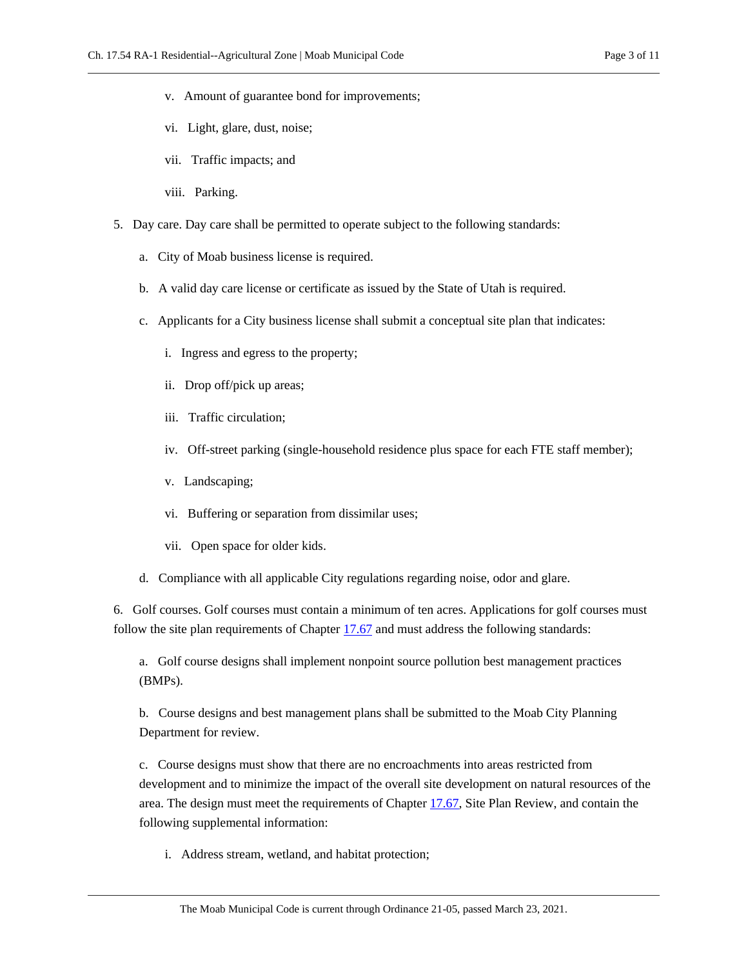- v. Amount of guarantee bond for improvements;
- vi. Light, glare, dust, noise;
- vii. Traffic impacts; and
- viii. Parking.
- 5. Day care. Day care shall be permitted to operate subject to the following standards:
	- a. City of Moab business license is required.
	- b. A valid day care license or certificate as issued by the State of Utah is required.
	- c. Applicants for a City business license shall submit a conceptual site plan that indicates:
		- i. Ingress and egress to the property;
		- ii. Drop off/pick up areas;
		- iii. Traffic circulation;
		- iv. Off-street parking (single-household residence plus space for each FTE staff member);
		- v. Landscaping;
		- vi. Buffering or separation from dissimilar uses;
		- vii. Open space for older kids.
	- d. Compliance with all applicable City regulations regarding noise, odor and glare.

6. Golf courses. Golf courses must contain a minimum of ten acres. Applications for golf courses must follow the site plan requirements of Chapter [17.67](https://moab.municipal.codes/Code/17.67) and must address the following standards:

a. Golf course designs shall implement nonpoint source pollution best management practices (BMPs).

b. Course designs and best management plans shall be submitted to the Moab City Planning Department for review.

c. Course designs must show that there are no encroachments into areas restricted from development and to minimize the impact of the overall site development on natural resources of the area. The design must meet the requirements of Chapter [17.67,](https://moab.municipal.codes/Code/17.67) Site Plan Review, and contain the following supplemental information:

i. Address stream, wetland, and habitat protection;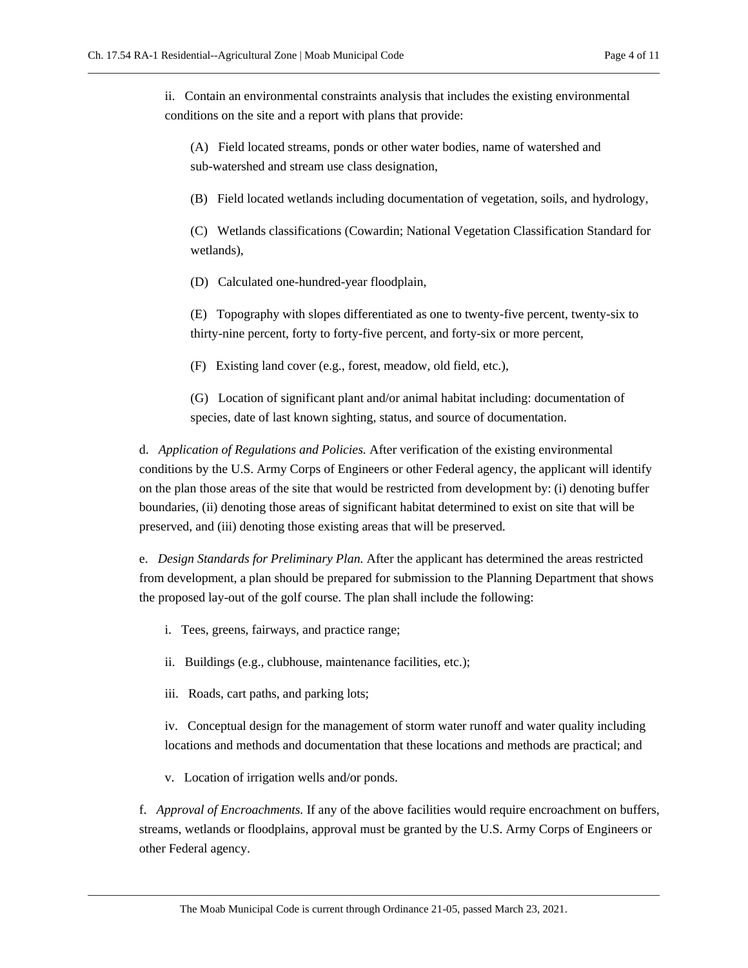ii. Contain an environmental constraints analysis that includes the existing environmental conditions on the site and a report with plans that provide:

(A) Field located streams, ponds or other water bodies, name of watershed and sub-watershed and stream use class designation,

(B) Field located wetlands including documentation of vegetation, soils, and hydrology,

(C) Wetlands classifications (Cowardin; National Vegetation Classification Standard for wetlands),

(D) Calculated one-hundred-year floodplain,

(E) Topography with slopes differentiated as one to twenty-five percent, twenty-six to thirty-nine percent, forty to forty-five percent, and forty-six or more percent,

(F) Existing land cover (e.g., forest, meadow, old field, etc.),

(G) Location of significant plant and/or animal habitat including: documentation of species, date of last known sighting, status, and source of documentation.

d. *Application of Regulations and Policies.* After verification of the existing environmental conditions by the U.S. Army Corps of Engineers or other Federal agency, the applicant will identify on the plan those areas of the site that would be restricted from development by: (i) denoting buffer boundaries, (ii) denoting those areas of significant habitat determined to exist on site that will be preserved, and (iii) denoting those existing areas that will be preserved.

e. *Design Standards for Preliminary Plan.* After the applicant has determined the areas restricted from development, a plan should be prepared for submission to the Planning Department that shows the proposed lay-out of the golf course. The plan shall include the following:

- i. Tees, greens, fairways, and practice range;
- ii. Buildings (e.g., clubhouse, maintenance facilities, etc.);
- iii. Roads, cart paths, and parking lots;

iv. Conceptual design for the management of storm water runoff and water quality including locations and methods and documentation that these locations and methods are practical; and

v. Location of irrigation wells and/or ponds.

f. *Approval of Encroachments.* If any of the above facilities would require encroachment on buffers, streams, wetlands or floodplains, approval must be granted by the U.S. Army Corps of Engineers or other Federal agency.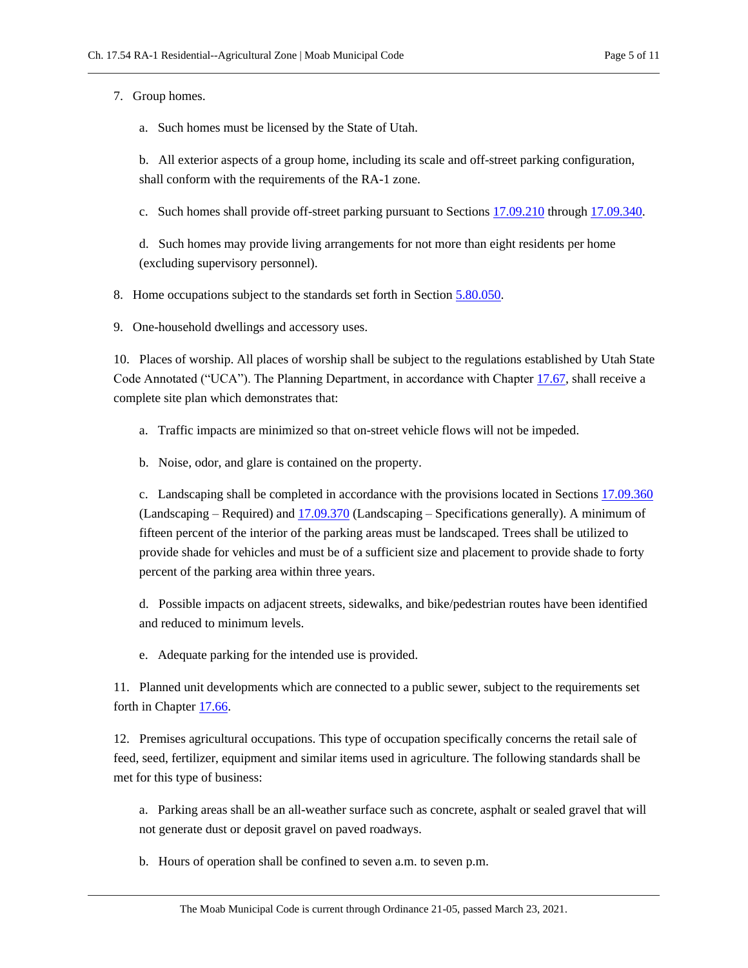7. Group homes.

a. Such homes must be licensed by the State of Utah.

b. All exterior aspects of a group home, including its scale and off-street parking configuration, shall conform with the requirements of the RA-1 zone.

c. Such homes shall provide off-street parking pursuant to Section[s 17.09.210](https://moab.municipal.codes/Code/17.09.210) throug[h 17.09.340.](https://moab.municipal.codes/Code/17.09.340)

d. Such homes may provide living arrangements for not more than eight residents per home (excluding supervisory personnel).

8. Home occupations subject to the standards set forth in Section [5.80.050.](https://moab.municipal.codes/Code/5.80.050)

9. One-household dwellings and accessory uses.

10. Places of worship. All places of worship shall be subject to the regulations established by Utah State Code Annotated ("UCA"). The Planning Department, in accordance with Chapter [17.67,](https://moab.municipal.codes/Code/17.67) shall receive a complete site plan which demonstrates that:

- a. Traffic impacts are minimized so that on-street vehicle flows will not be impeded.
- b. Noise, odor, and glare is contained on the property.

c. Landscaping shall be completed in accordance with the provisions located in Section[s 17.09.360](https://moab.municipal.codes/Code/17.09.360) (Landscaping – Required) and [17.09.370](https://moab.municipal.codes/Code/17.09.370) (Landscaping – Specifications generally). A minimum of fifteen percent of the interior of the parking areas must be landscaped. Trees shall be utilized to provide shade for vehicles and must be of a sufficient size and placement to provide shade to forty percent of the parking area within three years.

d. Possible impacts on adjacent streets, sidewalks, and bike/pedestrian routes have been identified and reduced to minimum levels.

e. Adequate parking for the intended use is provided.

11. Planned unit developments which are connected to a public sewer, subject to the requirements set forth in Chapte[r 17.66.](https://moab.municipal.codes/Code/17.66)

12. Premises agricultural occupations. This type of occupation specifically concerns the retail sale of feed, seed, fertilizer, equipment and similar items used in agriculture. The following standards shall be met for this type of business:

a. Parking areas shall be an all-weather surface such as concrete, asphalt or sealed gravel that will not generate dust or deposit gravel on paved roadways.

b. Hours of operation shall be confined to seven a.m. to seven p.m.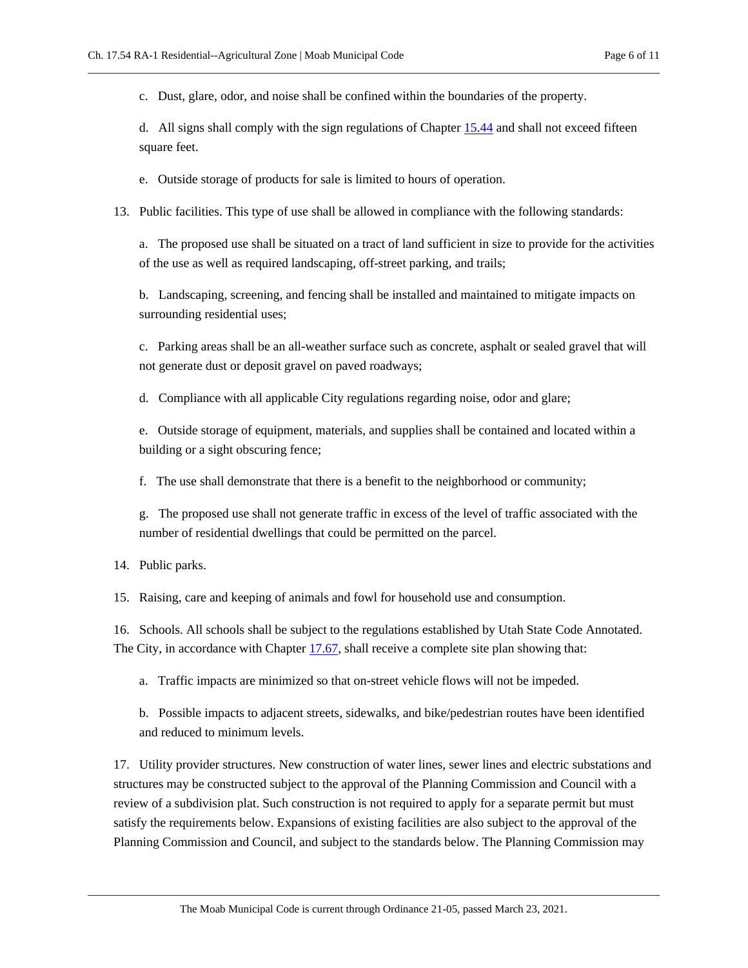c. Dust, glare, odor, and noise shall be confined within the boundaries of the property.

d. All signs shall comply with the sign regulations of Chapter [15.44](https://moab.municipal.codes/Code/15.44) and shall not exceed fifteen square feet.

e. Outside storage of products for sale is limited to hours of operation.

13. Public facilities. This type of use shall be allowed in compliance with the following standards:

a. The proposed use shall be situated on a tract of land sufficient in size to provide for the activities of the use as well as required landscaping, off-street parking, and trails;

b. Landscaping, screening, and fencing shall be installed and maintained to mitigate impacts on surrounding residential uses;

c. Parking areas shall be an all-weather surface such as concrete, asphalt or sealed gravel that will not generate dust or deposit gravel on paved roadways;

d. Compliance with all applicable City regulations regarding noise, odor and glare;

e. Outside storage of equipment, materials, and supplies shall be contained and located within a building or a sight obscuring fence;

f. The use shall demonstrate that there is a benefit to the neighborhood or community;

g. The proposed use shall not generate traffic in excess of the level of traffic associated with the number of residential dwellings that could be permitted on the parcel.

14. Public parks.

15. Raising, care and keeping of animals and fowl for household use and consumption.

16. Schools. All schools shall be subject to the regulations established by Utah State Code Annotated. The City, in accordance with Chapter [17.67,](https://moab.municipal.codes/Code/17.67) shall receive a complete site plan showing that:

a. Traffic impacts are minimized so that on-street vehicle flows will not be impeded.

b. Possible impacts to adjacent streets, sidewalks, and bike/pedestrian routes have been identified and reduced to minimum levels.

17. Utility provider structures. New construction of water lines, sewer lines and electric substations and structures may be constructed subject to the approval of the Planning Commission and Council with a review of a subdivision plat. Such construction is not required to apply for a separate permit but must satisfy the requirements below. Expansions of existing facilities are also subject to the approval of the Planning Commission and Council, and subject to the standards below. The Planning Commission may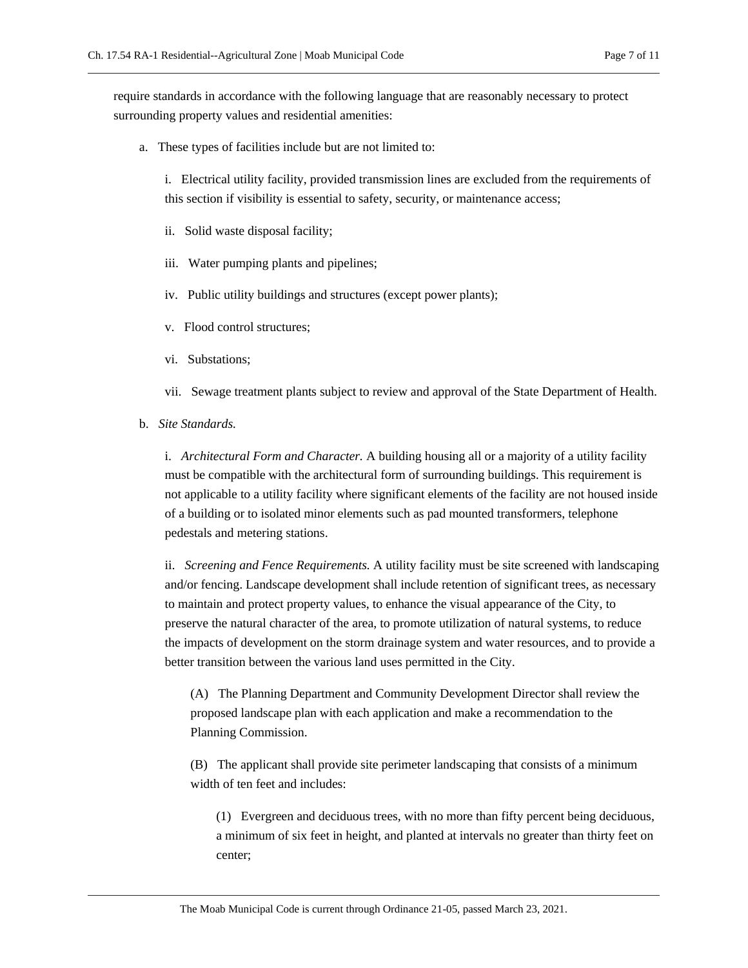require standards in accordance with the following language that are reasonably necessary to protect surrounding property values and residential amenities:

a. These types of facilities include but are not limited to:

i. Electrical utility facility, provided transmission lines are excluded from the requirements of this section if visibility is essential to safety, security, or maintenance access;

- ii. Solid waste disposal facility;
- iii. Water pumping plants and pipelines;
- iv. Public utility buildings and structures (except power plants);
- v. Flood control structures;
- vi. Substations;
- vii. Sewage treatment plants subject to review and approval of the State Department of Health.
- b. *Site Standards.*

i. *Architectural Form and Character.* A building housing all or a majority of a utility facility must be compatible with the architectural form of surrounding buildings. This requirement is not applicable to a utility facility where significant elements of the facility are not housed inside of a building or to isolated minor elements such as pad mounted transformers, telephone pedestals and metering stations.

ii. *Screening and Fence Requirements.* A utility facility must be site screened with landscaping and/or fencing. Landscape development shall include retention of significant trees, as necessary to maintain and protect property values, to enhance the visual appearance of the City, to preserve the natural character of the area, to promote utilization of natural systems, to reduce the impacts of development on the storm drainage system and water resources, and to provide a better transition between the various land uses permitted in the City.

(A) The Planning Department and Community Development Director shall review the proposed landscape plan with each application and make a recommendation to the Planning Commission.

(B) The applicant shall provide site perimeter landscaping that consists of a minimum width of ten feet and includes:

(1) Evergreen and deciduous trees, with no more than fifty percent being deciduous, a minimum of six feet in height, and planted at intervals no greater than thirty feet on center;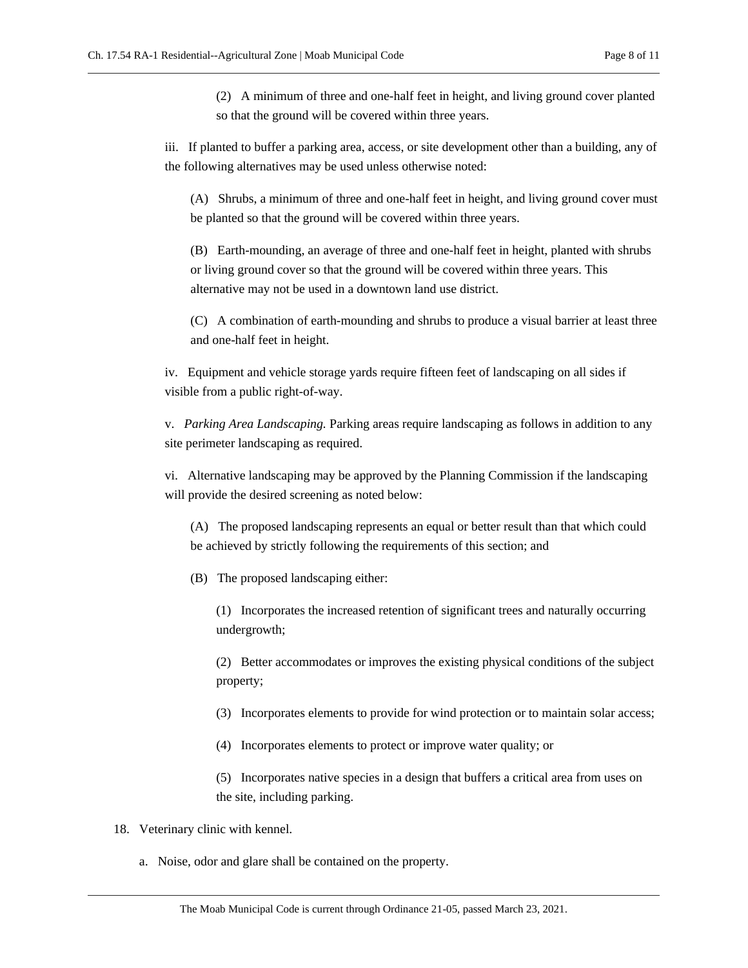(2) A minimum of three and one-half feet in height, and living ground cover planted so that the ground will be covered within three years.

iii. If planted to buffer a parking area, access, or site development other than a building, any of the following alternatives may be used unless otherwise noted:

(A) Shrubs, a minimum of three and one-half feet in height, and living ground cover must be planted so that the ground will be covered within three years.

(B) Earth-mounding, an average of three and one-half feet in height, planted with shrubs or living ground cover so that the ground will be covered within three years. This alternative may not be used in a downtown land use district.

(C) A combination of earth-mounding and shrubs to produce a visual barrier at least three and one-half feet in height.

iv. Equipment and vehicle storage yards require fifteen feet of landscaping on all sides if visible from a public right-of-way.

v. *Parking Area Landscaping.* Parking areas require landscaping as follows in addition to any site perimeter landscaping as required.

vi. Alternative landscaping may be approved by the Planning Commission if the landscaping will provide the desired screening as noted below:

(A) The proposed landscaping represents an equal or better result than that which could be achieved by strictly following the requirements of this section; and

(B) The proposed landscaping either:

(1) Incorporates the increased retention of significant trees and naturally occurring undergrowth;

(2) Better accommodates or improves the existing physical conditions of the subject property;

(3) Incorporates elements to provide for wind protection or to maintain solar access;

(4) Incorporates elements to protect or improve water quality; or

(5) Incorporates native species in a design that buffers a critical area from uses on the site, including parking.

- 18. Veterinary clinic with kennel.
	- a. Noise, odor and glare shall be contained on the property.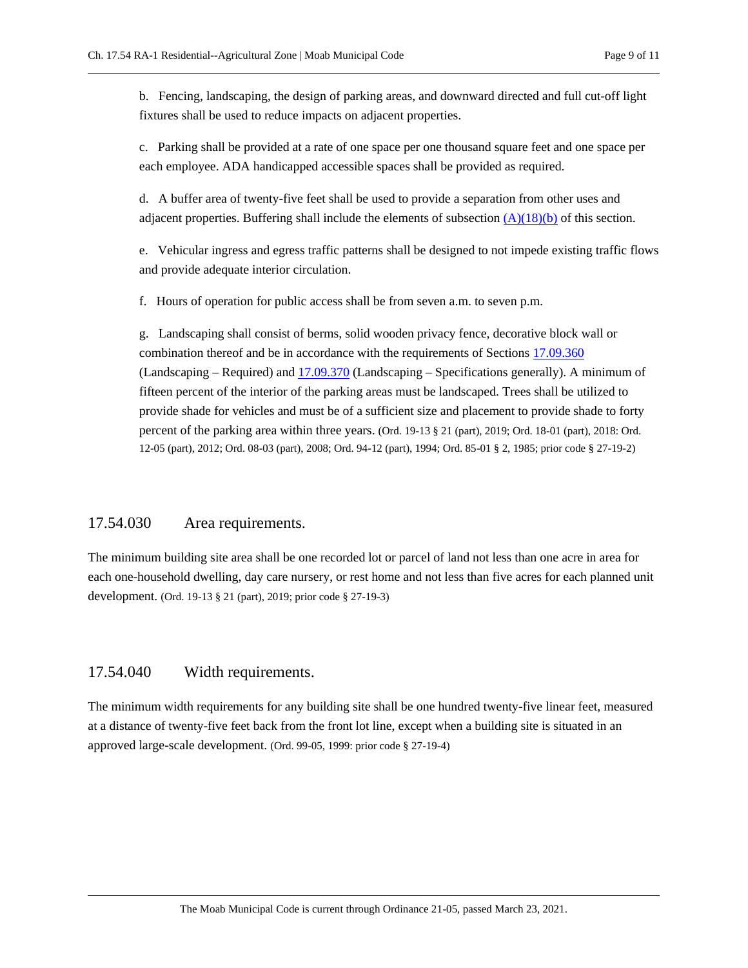<span id="page-8-2"></span>b. Fencing, landscaping, the design of parking areas, and downward directed and full cut-off light fixtures shall be used to reduce impacts on adjacent properties.

c. Parking shall be provided at a rate of one space per one thousand square feet and one space per each employee. ADA handicapped accessible spaces shall be provided as required.

d. A buffer area of twenty-five feet shall be used to provide a separation from other uses and adjacent properties. Buffering shall include the elements of subsection  $(A)(18)(b)$  of this section.

e. Vehicular ingress and egress traffic patterns shall be designed to not impede existing traffic flows and provide adequate interior circulation.

f. Hours of operation for public access shall be from seven a.m. to seven p.m.

g. Landscaping shall consist of berms, solid wooden privacy fence, decorative block wall or combination thereof and be in accordance with the requirements of Sections [17.09.360](https://moab.municipal.codes/Code/17.09.360) (Landscaping – Required) and [17.09.370](https://moab.municipal.codes/Code/17.09.370) (Landscaping – Specifications generally). A minimum of fifteen percent of the interior of the parking areas must be landscaped. Trees shall be utilized to provide shade for vehicles and must be of a sufficient size and placement to provide shade to forty percent of the parking area within three years. (Ord. 19-13 § 21 (part), 2019; Ord. 18-01 (part), 2018: Ord. 12-05 (part), 2012; Ord. 08-03 (part), 2008; Ord. 94-12 (part), 1994; Ord. 85-01 § 2, 1985; prior code § 27-19-2)

#### <span id="page-8-0"></span>17.54.030 Area requirements.

The minimum building site area shall be one recorded lot or parcel of land not less than one acre in area for each one-household dwelling, day care nursery, or rest home and not less than five acres for each planned unit development. (Ord. 19-13 § 21 (part), 2019; prior code § 27-19-3)

## <span id="page-8-1"></span>17.54.040 Width requirements.

The minimum width requirements for any building site shall be one hundred twenty-five linear feet, measured at a distance of twenty-five feet back from the front lot line, except when a building site is situated in an approved large-scale development. (Ord. 99-05, 1999: prior code § 27-19-4)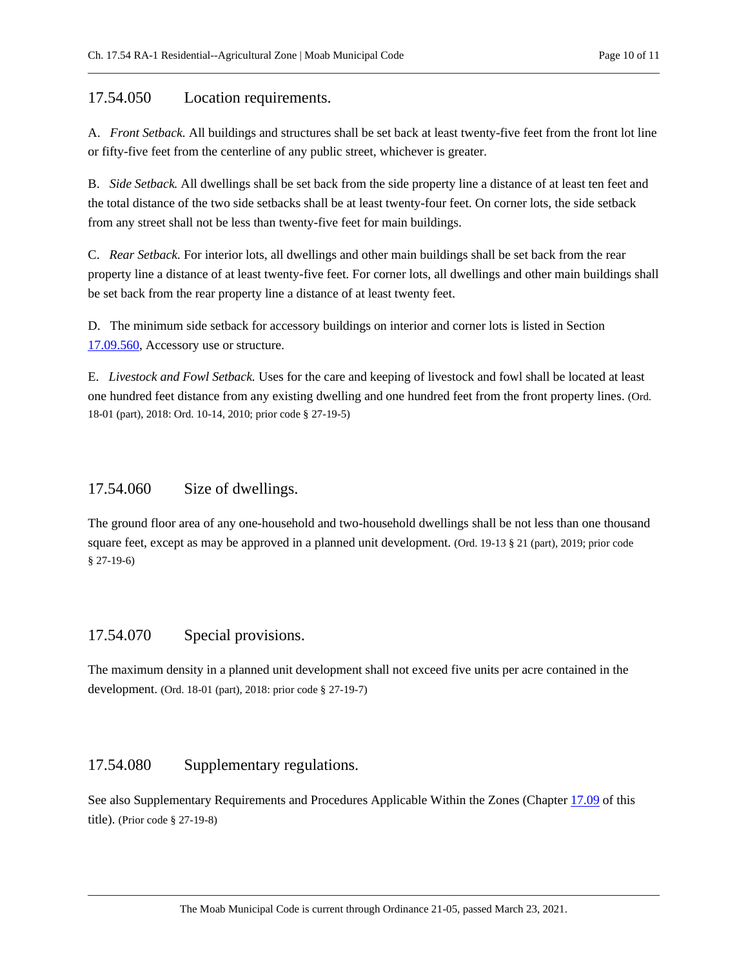#### <span id="page-9-0"></span>17.54.050 Location requirements.

A. *Front Setback.* All buildings and structures shall be set back at least twenty-five feet from the front lot line or fifty-five feet from the centerline of any public street, whichever is greater.

B. *Side Setback.* All dwellings shall be set back from the side property line a distance of at least ten feet and the total distance of the two side setbacks shall be at least twenty-four feet. On corner lots, the side setback from any street shall not be less than twenty-five feet for main buildings.

C. *Rear Setback.* For interior lots, all dwellings and other main buildings shall be set back from the rear property line a distance of at least twenty-five feet. For corner lots, all dwellings and other main buildings shall be set back from the rear property line a distance of at least twenty feet.

D. The minimum side setback for accessory buildings on interior and corner lots is listed in Section [17.09.560,](https://moab.municipal.codes/Code/17.09.560) Accessory use or structure.

E. *Livestock and Fowl Setback.* Uses for the care and keeping of livestock and fowl shall be located at least one hundred feet distance from any existing dwelling and one hundred feet from the front property lines. (Ord. 18-01 (part), 2018: Ord. 10-14, 2010; prior code § 27-19-5)

## <span id="page-9-1"></span>17.54.060 Size of dwellings.

The ground floor area of any one-household and two-household dwellings shall be not less than one thousand square feet, except as may be approved in a planned unit development. (Ord. 19-13 § 21 (part), 2019; prior code § 27-19-6)

## <span id="page-9-2"></span>17.54.070 Special provisions.

The maximum density in a planned unit development shall not exceed five units per acre contained in the development. (Ord. 18-01 (part), 2018: prior code § 27-19-7)

## <span id="page-9-3"></span>17.54.080 Supplementary regulations.

See also Supplementary Requirements and Procedures Applicable Within the Zones (Chapter [17.09](https://moab.municipal.codes/Code/17.09) of this title). (Prior code § 27-19-8)